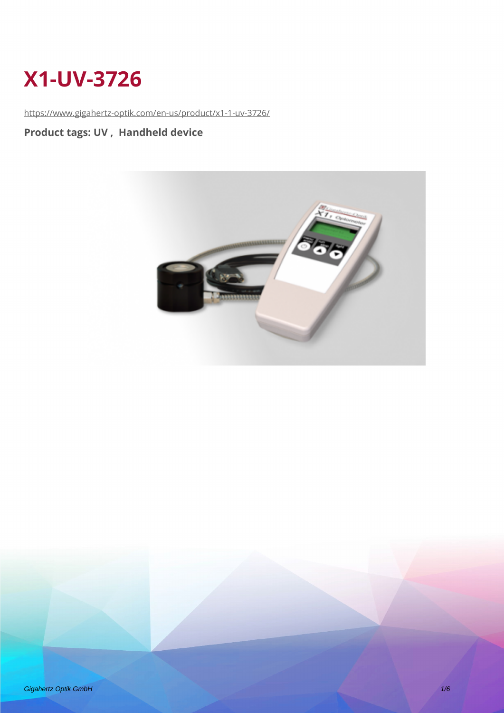# **X1-UV-3726**

<https://www.gigahertz-optik.com/en-us/product/x1-1-uv-3726/>

### **Product tags: UV , Handheld device**



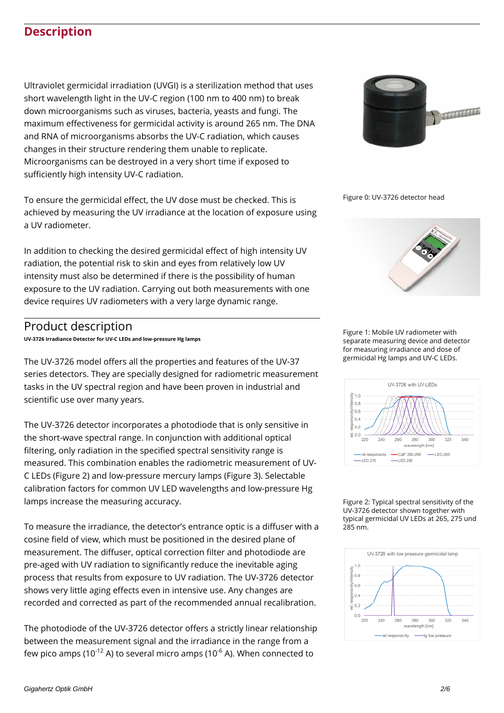### **Description**

Ultraviolet germicidal irradiation (UVGI) is a sterilization method that uses short wavelength light in the UV-C region (100 nm to 400 nm) to break down microorganisms such as viruses, bacteria, yeasts and fungi. The maximum effectiveness for germicidal activity is around 265 nm. The DNA and RNA of microorganisms absorbs the UV-C radiation, which causes changes in their structure rendering them unable to replicate. Microorganisms can be destroyed in a very short time if exposed to sufficiently high intensity UV-C radiation.

To ensure the germicidal effect, the UV dose must be checked. This is achieved by measuring the UV irradiance at the location of exposure using a UV radiometer.

In addition to checking the desired germicidal effect of high intensity UV radiation, the potential risk to skin and eyes from relatively low UV intensity must also be determined if there is the possibility of human exposure to the UV radiation. Carrying out both measurements with one device requires UV radiometers with a very large dynamic range.

#### Product description

**UV-3726 Irradiance Detector for UV-C LEDs and low-pressure Hg lamps**

The UV-3726 model offers all the properties and features of the UV-37 series detectors. They are specially designed for radiometric measurement tasks in the UV spectral region and have been proven in industrial and scientific use over many years.

The UV-3726 detector incorporates a photodiode that is only sensitive in the short-wave spectral range. In conjunction with additional optical filtering, only radiation in the specified spectral sensitivity range is measured. This combination enables the radiometric measurement of UV-C LEDs (Figure 2) and low-pressure mercury lamps (Figure 3). Selectable calibration factors for common UV LED wavelengths and low-pressure Hg lamps increase the measuring accuracy.

To measure the irradiance, the detector's entrance optic is a diffuser with a cosine field of view, which must be positioned in the desired plane of measurement. The diffuser, optical correction filter and photodiode are pre-aged with UV radiation to significantly reduce the inevitable aging process that results from exposure to UV radiation. The UV-3726 detector shows very little aging effects even in intensive use. Any changes are recorded and corrected as part of the recommended annual recalibration.

The photodiode of the UV-3726 detector offers a strictly linear relationship between the measurement signal and the irradiance in the range from a few pico amps (10 $12$  A) to several micro amps (10 $6$  A). When connected to



Figure 0: UV-3726 detector head



Figure 1: Mobile UV radiometer with separate measuring device and detector for measuring irradiance and dose of germicidal Hg lamps and UV-C LEDs.



Figure 2: Typical spectral sensitivity of the UV-3726 detector shown together with typical germicidal UV LEDs at 265, 275 und 285 nm.

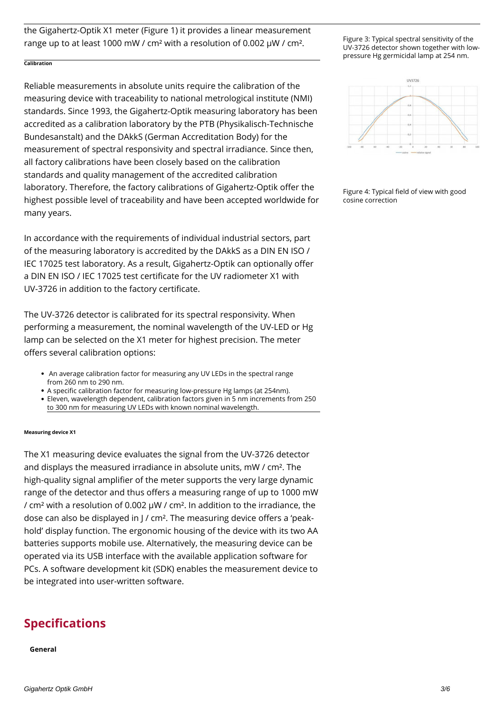the Gigahertz-Optik X1 meter (Figure 1) it provides a linear measurement range up to at least 1000 mW / cm² with a resolution of 0.002 µW / cm².

#### **Calibration**

Reliable measurements in absolute units require the calibration of the measuring device with traceability to national metrological institute (NMI) standards. Since 1993, the Gigahertz-Optik measuring laboratory has been accredited as a calibration laboratory by the PTB (Physikalisch-Technische Bundesanstalt) and the DAkkS (German Accreditation Body) for the measurement of spectral responsivity and spectral irradiance. Since then, all factory calibrations have been closely based on the calibration standards and quality management of the accredited calibration laboratory. Therefore, the factory calibrations of Gigahertz-Optik offer the highest possible level of traceability and have been accepted worldwide for many years.

In accordance with the requirements of individual industrial sectors, part of the measuring laboratory is accredited by the DAkkS as a DIN EN ISO / IEC 17025 test laboratory. As a result, Gigahertz-Optik can optionally offer a DIN EN ISO / IEC 17025 test certificate for the UV radiometer X1 with UV-3726 in addition to the factory certificate.

The UV-3726 detector is calibrated for its spectral responsivity. When performing a measurement, the nominal wavelength of the UV-LED or Hg lamp can be selected on the X1 meter for highest precision. The meter offers several calibration options:

- An average calibration factor for measuring any UV LEDs in the spectral range from 260 nm to 290 nm.
- A specific calibration factor for measuring low-pressure Hg lamps (at 254nm).
- Eleven, wavelength dependent, calibration factors given in 5 nm increments from 250 to 300 nm for measuring UV LEDs with known nominal wavelength.

#### **Measuring device X1**

The X1 measuring device evaluates the signal from the UV-3726 detector and displays the measured irradiance in absolute units, mW / cm². The high-quality signal amplifier of the meter supports the very large dynamic range of the detector and thus offers a measuring range of up to 1000 mW / cm² with a resolution of 0.002 µW / cm². In addition to the irradiance, the dose can also be displayed in J / cm². The measuring device offers a 'peakhold' display function. The ergonomic housing of the device with its two AA batteries supports mobile use. Alternatively, the measuring device can be operated via its USB interface with the available application software for PCs. A software development kit (SDK) enables the measurement device to be integrated into user-written software.

#### **Specifications**

**General**

Figure 3: Typical spectral sensitivity of the UV-3726 detector shown together with lowpressure Hg germicidal lamp at 254 nm.



Figure 4: Typical field of view with good cosine correction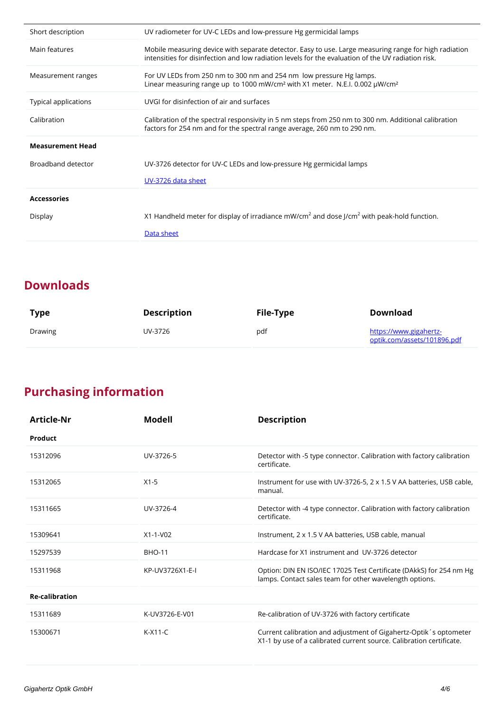| Short description       | UV radiometer for UV-C LEDs and low-pressure Hg germicidal lamps                                                                                                                                            |
|-------------------------|-------------------------------------------------------------------------------------------------------------------------------------------------------------------------------------------------------------|
| Main features           | Mobile measuring device with separate detector. Easy to use, Large measuring range for high radiation<br>intensities for disinfection and low radiation levels for the evaluation of the UV radiation risk. |
| Measurement ranges      | For UV LEDs from 250 nm to 300 nm and 254 nm low pressure Hg lamps.<br>Linear measuring range up to 1000 mW/cm <sup>2</sup> with X1 meter. N.E.I. 0.002 µW/cm <sup>2</sup>                                  |
| Typical applications    | UVGI for disinfection of air and surfaces                                                                                                                                                                   |
| Calibration             | Calibration of the spectral responsivity in 5 nm steps from 250 nm to 300 nm. Additional calibration<br>factors for 254 nm and for the spectral range average, 260 nm to 290 nm.                            |
| <b>Measurement Head</b> |                                                                                                                                                                                                             |
| Broadband detector      | UV-3726 detector for UV-C LEDs and low-pressure Hg germicidal lamps                                                                                                                                         |
|                         | UV-3726 data sheet                                                                                                                                                                                          |
| <b>Accessories</b>      |                                                                                                                                                                                                             |
| Display                 | X1 Handheld meter for display of irradiance mW/cm <sup>2</sup> and dose J/cm <sup>2</sup> with peak-hold function.                                                                                          |
|                         | Data sheet                                                                                                                                                                                                  |

## **Downloads**

 $\overline{a}$ 

| <b>Type</b> | Description | File-Type | Download                                              |
|-------------|-------------|-----------|-------------------------------------------------------|
| Drawing     | UV-3726     | pdf       | https://www.gigahertz-<br>optik.com/assets/101896.pdf |

# **Purchasing information**

| Article-Nr            | Modell          | <b>Description</b>                                                                                                                        |
|-----------------------|-----------------|-------------------------------------------------------------------------------------------------------------------------------------------|
| Product               |                 |                                                                                                                                           |
| 15312096              | UV-3726-5       | Detector with -5 type connector. Calibration with factory calibration<br>certificate.                                                     |
| 15312065              | $X1-5$          | Instrument for use with UV-3726-5, 2 x 1.5 V AA batteries, USB cable,<br>manual.                                                          |
| 15311665              | UV-3726-4       | Detector with -4 type connector. Calibration with factory calibration<br>certificate.                                                     |
| 15309641              | X1-1-V02        | Instrument, 2 x 1.5 V AA batteries, USB cable, manual                                                                                     |
| 15297539              | <b>BHO-11</b>   | Hardcase for X1 instrument and UV-3726 detector                                                                                           |
| 15311968              | KP-UV3726X1-E-I | Option: DIN EN ISO/IEC 17025 Test Certificate (DAkkS) for 254 nm Hg<br>lamps. Contact sales team for other wavelength options.            |
| <b>Re-calibration</b> |                 |                                                                                                                                           |
| 15311689              | K-UV3726-E-V01  | Re-calibration of UV-3726 with factory certificate                                                                                        |
| 15300671              | $K-X11-C$       | Current calibration and adjustment of Gigahertz-Optik's optometer<br>X1-1 by use of a calibrated current source. Calibration certificate. |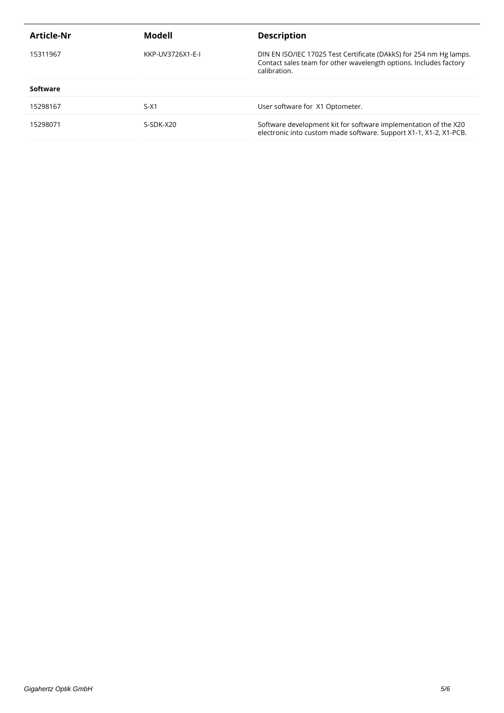| Article-Nr | Modell           | <b>Description</b>                                                                                                                                      |
|------------|------------------|---------------------------------------------------------------------------------------------------------------------------------------------------------|
| 15311967   | KKP-UV3726X1-E-I | DIN EN ISO/IEC 17025 Test Certificate (DAkkS) for 254 nm Hg lamps.<br>Contact sales team for other wavelength options. Includes factory<br>calibration. |
| Software   |                  |                                                                                                                                                         |
| 15298167   | $S-X1$           | User software for X1 Optometer.                                                                                                                         |
| 15298071   | S-SDK-X20        | Software development kit for software implementation of the X20<br>electronic into custom made software. Support X1-1, X1-2, X1-PCB.                    |